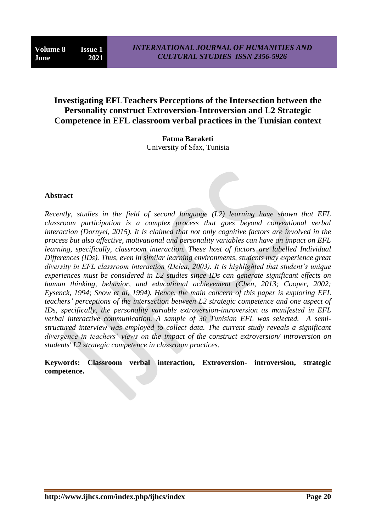# **Investigating EFLTeachers Perceptions of the Intersection between the Personality construct Extroversion-Introversion and L2 Strategic Competence in EFL classroom verbal practices in the Tunisian context**

**Fatma Baraketi** University of Sfax, Tunisia

## **Abstract**

*Recently, studies in the field of second language (L2) learning have shown that EFL classroom participation is a complex process that goes beyond conventional verbal interaction (Dornyei, 2015). It is claimed that not only cognitive factors are involved in the process but also affective, motivational and personality variables can have an impact on EFL learning, specifically, classroom interaction. These host of factors are labelled Individual Differences (IDs). Thus, even in similar learning environments, students may experience great diversity in EFL classroom interaction (Delea, 2003). It is highlighted that student"s unique experiences must be considered in L2 studies since IDs can generate significant effects on human thinking, behavior, and educational achievement (Chen, 2013; Cooper, 2002; Eysenck, 1994; Snow et al, 1994). Hence, the main concern of this paper is exploring EFL teachers" perceptions of the intersection between L2 strategic competence and one aspect of IDs, specifically, the personality variable extroversion-introversion as manifested in EFL verbal interactive communication. A sample of 30 Tunisian EFL was selected. A semistructured interview was employed to collect data. The current study reveals a significant divergence in teachers" views on the impact of the construct extroversion/ introversion on students' L2 strategic competence in classroom practices.*

**Keywords: Classroom verbal interaction, Extroversion- introversion, strategic competence.**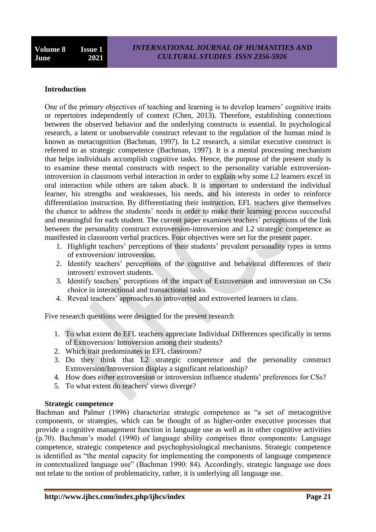# **Introduction**

One of the primary objectives of teaching and learning is to develop learners' cognitive traits or repertoires independently of context (Chen, 2013). Therefore, establishing connections between the observed behavior and the underlying constructs is essential. In psychological research, a latent or unobservable construct relevant to the regulation of the human mind is known as metacognition (Bachman, 1997). In L2 research, a similar executive construct is referred to as strategic competence (Bachman, 1997). It is a mental processing mechanism that helps individuals accomplish cognitive tasks. Hence, the purpose of the present study is to examine these mental constructs with respect to the personality variable extroversionintroversion in classroom verbal interaction in order to explain why some L2 learners excel in oral interaction while others are taken aback. It is important to understand the individual learner, his strengths and weaknesses, his needs, and his interests in order to reinforce differentiation instruction. By differentiating their instruction, EFL teachers give themselves the chance to address the students" needs in order to make their learning process successful and meaningful for each student. The current paper examines teachers' perceptions of the link between the personality construct extroversion-introversion and L2 strategic competence as manifested in classroom verbal practices. Four objectives were set for the present paper.

- 1. Highlight teachers' perceptions of their students' prevalent personality types in terms of extroversion/ introversion.
- 2. Identify teachers" perceptions of the cognitive and behavioral differences of their introvert/ extrovert students.
- 3. Identify teachers" perceptions of the impact of Extroversion and introversion on CSs choice in interactional and transactional tasks.
- 4. Reveal teachers' approaches to introverted and extroverted learners in class.

Five research questions were designed for the present research

- 1. To what extent do EFL teachers appreciate Individual Differences specifically in terms of Extroversion/ Introversion among their students?
- 2. Which trait predominates in EFL classroom?
- 3. Do they think that L2 strategic competence and the personality construct Extroversion/Introversion display a significant relationship?
- 4. How does either extroversion or introversion influence students' preferences for CSs?
- 5. To what extent do teachers' views diverge?

## **Strategic competence**

Bachman and Palmer (1996) characterize strategic competence as "a set of metacognitive components, or strategies, which can be thought of as higher-order executive processes that provide a cognitive management function in language use as well as in other cognitive activities (p.70). Bachman"s model (1990) of language ability comprises three components: Language competence, strategic competence and psychophysiological mechanisms. Strategic competence is identified as "the mental capacity for implementing the components of language competence in contextualized language use" (Bachman 1990: 84). Accordingly, strategic language use does not relate to the notion of problematicity, rather, it is underlying all language use.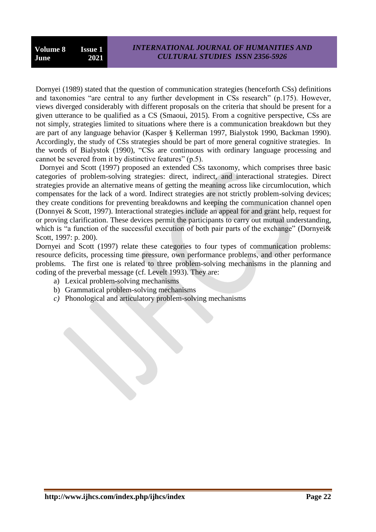Dornyei (1989) stated that the question of communication strategies (henceforth CSs) definitions and taxonomies "are central to any further development in CSs research" (p.175). However, views diverged considerably with different proposals on the criteria that should be present for a given utterance to be qualified as a CS (Smaoui, 2015). From a cognitive perspective, CSs are not simply, strategies limited to situations where there is a communication breakdown but they are part of any language behavior (Kasper § Kellerman 1997, Bialystok 1990, Backman 1990). Accordingly, the study of CSs strategies should be part of more general cognitive strategies. In the words of Bialystok (1990), "CSs are continuous with ordinary language processing and cannot be severed from it by distinctive features" (p.5).

 Dornyei and Scott (1997) proposed an extended CSs taxonomy, which comprises three basic categories of problem-solving strategies: direct, indirect, and interactional strategies. Direct strategies provide an alternative means of getting the meaning across like circumlocution, which compensates for the lack of a word. Indirect strategies are not strictly problem-solving devices; they create conditions for preventing breakdowns and keeping the communication channel open (Donnyei & Scott, 1997). Interactional strategies include an appeal for and grant help, request for or proving clarification. These devices permit the participants to carry out mutual understanding, which is "a function of the successful execution of both pair parts of the exchange" (Dornyei & Scott, 1997: p. 200).

Dornyei and Scott (1997) relate these categories to four types of communication problems: resource deficits, processing time pressure, own performance problems, and other performance problems. The first one is related to three problem-solving mechanisms in the planning and coding of the preverbal message (cf. Levelt 1993). They are:

- a) Lexical problem-solving mechanisms
- b) Grammatical problem-solving mechanisms
- *c)* Phonological and articulatory problem-solving mechanisms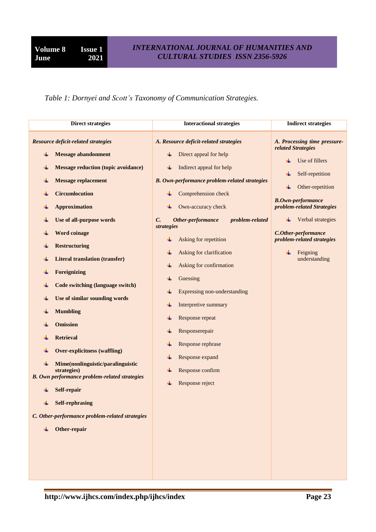*Table 1: Dornyei and Scott"s Taxonomy of Communication Strategies.*

| <b>Direct strategies</b>                                                                                                                                                                                                                                                                                                                                                                                                                                                                                                                                                                                                                                                                                                                                    | <b>Interactional strategies</b>                                                                                                                                                                                                                                                                                                                                                                                                                                                                                                                                             | <b>Indirect strategies</b>                                                                                                                                                                                                                                                   |
|-------------------------------------------------------------------------------------------------------------------------------------------------------------------------------------------------------------------------------------------------------------------------------------------------------------------------------------------------------------------------------------------------------------------------------------------------------------------------------------------------------------------------------------------------------------------------------------------------------------------------------------------------------------------------------------------------------------------------------------------------------------|-----------------------------------------------------------------------------------------------------------------------------------------------------------------------------------------------------------------------------------------------------------------------------------------------------------------------------------------------------------------------------------------------------------------------------------------------------------------------------------------------------------------------------------------------------------------------------|------------------------------------------------------------------------------------------------------------------------------------------------------------------------------------------------------------------------------------------------------------------------------|
| <b>Resource deficit-related strategies</b><br><b>Message abandonment</b><br><b>Message reduction (topic avoidance)</b><br><b>Message replacement</b><br>٠<br><b>Circumlocution</b><br><b>Approximation</b><br>Use of all-purpose words<br><b>Word coinage</b><br>÷<br><b>Restructuring</b><br><b>Literal translation (transfer)</b><br>Foreignizing<br>÷<br>Code switching (language switch)<br>Use of similar sounding words<br><b>Mumbling</b><br><b>Omission</b><br><b>Retrieval</b><br><b>Over-explicitness (waffling)</b><br>Mime(nonlinguistic/paralinguistic<br>÷<br>strategies)<br><b>B.</b> Own performance problem-related strategies<br>Self-repair<br><b>Self-rephrasing</b><br>C. Other-performance problem-related strategies<br>Other-repair | A. Resource deficit-related strategies<br>Direct appeal for help<br>Indirect appeal for help<br>¥<br><b>B.</b> Own-performance problem-related strategies<br>Comprehension check<br>Own-accuracy check<br>problem-related<br>$\mathcal{C}$ .<br>Other-performance<br>strategies<br>Asking for repetition<br>Asking for clarification<br>Asking for confirmation<br>Guessing<br>Expressing non-understanding<br>Interpretive summary<br>Response repeat<br>÷<br>Responserepair<br>¥<br>Response rephrase<br>Response expand<br>Response confirm<br>¥<br>Response reject<br>÷ | A. Processing time pressure-<br>related Strategies<br>Use of fillers<br>Self-repetition<br>Other-repetition<br><b>B.Own-performance</b><br>problem-related Strategies<br>Verbal strategies<br>C.Other-performance<br>problem-related strategies<br>Feigning<br>understanding |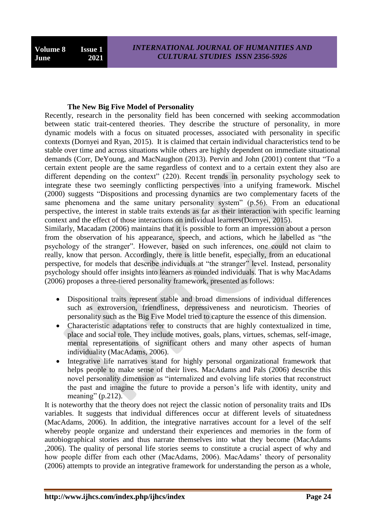#### **The New Big Five Model of Personality**

Recently, research in the personality field has been concerned with seeking accommodation between static trait-centered theories. They describe the structure of personality, in more dynamic models with a focus on situated processes, associated with personality in specific contexts (Dornyei and Ryan, 2015). It is claimed that certain individual characteristics tend to be stable over time and across situations while others are highly dependent on immediate situational demands (Corr, DeYoung, and MacNaughon (2013). Pervin and John (2001) content that "To a certain extent people are the same regardless of context and to a certain extent they also are different depending on the context" (220). Recent trends in personality psychology seek to integrate these two seemingly conflicting perspectives into a unifying framework. Mischel (2000) suggests "Dispositions and processing dynamics are two complementary facets of the same phenomena and the same unitary personality system" (p.56). From an educational perspective, the interest in stable traits extends as far as their interaction with specific learning context and the effect of those interactions on individual learners(Dornyei, 2015).

Similarly, Macadam (2006) maintains that it is possible to form an impression about a person from the observation of his appearance, speech, and actions, which he labelled as "the psychology of the stranger". However, based on such inferences, one could not claim to really, know that person. Accordingly, there is little benefit, especially, from an educational perspective, for models that describe individuals at "the stranger" level. Instead, personality psychology should offer insights into learners as rounded individuals. That is why MacAdams (2006) proposes a three-tiered personality framework, presented as follows:

- Dispositional traits represent stable and broad dimensions of individual differences such as extroversion, friendliness, depressiveness and neuroticism. Theories of personality such as the Big Five Model tried to capture the essence of this dimension.
- Characteristic adaptations refer to constructs that are highly contextualized in time, place and social role. They include motives, goals, plans, virtues, schemas, self-image, mental representations of significant others and many other aspects of human individuality (MacAdams, 2006).
- Integrative life narratives stand for highly personal organizational framework that helps people to make sense of their lives. MacAdams and Pals (2006) describe this novel personality dimension as "internalized and evolving life stories that reconstruct the past and imagine the future to provide a person"s life with identity, unity and meaning"  $(p.212)$ .

It is noteworthy that the theory does not reject the classic notion of personality traits and IDs variables. It suggests that individual differences occur at different levels of situatedness (MacAdams, 2006). In addition, the integrative narratives account for a level of the self whereby people organize and understand their experiences and memories in the form of autobiographical stories and thus narrate themselves into what they become (MacAdams ,2006). The quality of personal life stories seems to constitute a crucial aspect of why and how people differ from each other (MacAdams, 2006). MacAdams' theory of personality (2006) attempts to provide an integrative framework for understanding the person as a whole,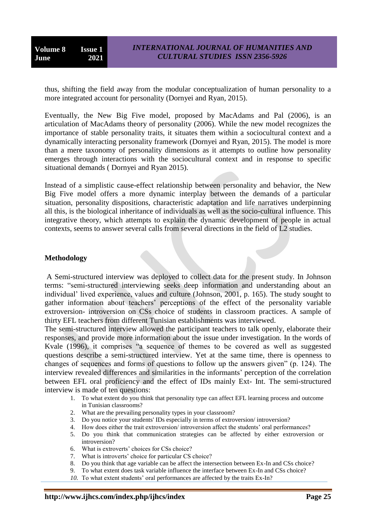thus, shifting the field away from the modular conceptualization of human personality to a more integrated account for personality (Dornyei and Ryan, 2015).

Eventually, the New Big Five model, proposed by MacAdams and Pal (2006), is an articulation of MacAdams theory of personality (2006). While the new model recognizes the importance of stable personality traits, it situates them within a sociocultural context and a dynamically interacting personality framework (Dornyei and Ryan, 2015). The model is more than a mere taxonomy of personality dimensions as it attempts to outline how personality emerges through interactions with the sociocultural context and in response to specific situational demands ( Dornyei and Ryan 2015).

Instead of a simplistic cause-effect relationship between personality and behavior, the New Big Five model offers a more dynamic interplay between the demands of a particular situation, personality dispositions, characteristic adaptation and life narratives underpinning all this, is the biological inheritance of individuals as well as the socio-cultural influence. This integrative theory, which attempts to explain the dynamic development of people in actual contexts, seems to answer several calls from several directions in the field of L2 studies.

#### **Methodology**

A Semi-structured interview was deployed to collect data for the present study. In Johnson terms: "semi-structured interviewing seeks deep information and understanding about an individual" lived experience, values and culture (Johnson, 2001, p. 165). The study sought to gather information about teachers" perceptions of the effect of the personality variable extroversion- introversion on CSs choice of students in classroom practices. A sample of thirty EFL teachers from different Tunisian establishments was interviewed.

The semi-structured interview allowed the participant teachers to talk openly, elaborate their responses, and provide more information about the issue under investigation. In the words of Kvale (1996), it comprises "a sequence of themes to be covered as well as suggested questions describe a semi-structured interview. Yet at the same time, there is openness to changes of sequences and forms of questions to follow up the answers given" (p. 124). The interview revealed differences and similarities in the informants" perception of the correlation between EFL oral proficiency and the effect of IDs mainly Ext- Int. The semi-structured interview is made of ten questions:

- 1. To what extent do you think that personality type can affect EFL learning process and outcome in Tunisian classrooms?
- 2. What are the prevailing personality types in your classroom?
- 3. Do you notice your students' IDs especially in terms of extroversion/ introversion?
- 4. How does either the trait extroversion/ introversion affect the students" oral performances?
- 5. Do you think that communication strategies can be affected by either extroversion or introversion?
- 6. What is extroverts" choices for CSs choice?
- 7. What is introverts' choice for particular CS choice?
- 8. Do you think that age variable can be affect the intersection between Ex-In and CSs choice?
- 9. To what extent does task variable influence the interface between Ex-In and CSs choice?
- 10. To what extent students' oral performances are affected by the traits Ex-In?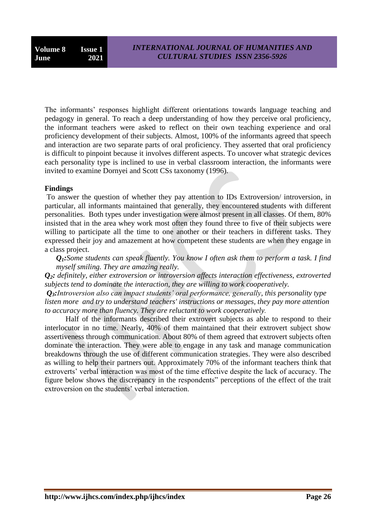The informants" responses highlight different orientations towards language teaching and pedagogy in general. To reach a deep understanding of how they perceive oral proficiency, the informant teachers were asked to reflect on their own teaching experience and oral proficiency development of their subjects. Almost, 100% of the informants agreed that speech and interaction are two separate parts of oral proficiency. They asserted that oral proficiency is difficult to pinpoint because it involves different aspects. To uncover what strategic devices each personality type is inclined to use in verbal classroom interaction, the informants were invited to examine Dornyei and Scott CSs taxonomy (1996).

## **Findings**

To answer the question of whether they pay attention to IDs Extroversion/ introversion, in particular, all informants maintained that generally, they encountered students with different personalities. Both types under investigation were almost present in all classes. Of them, 80% insisted that in the area whey work most often they found three to five of their subjects were willing to participate all the time to one another or their teachers in different tasks. They expressed their joy and amazement at how competent these students are when they engage in a class project.

*Q1:Some students can speak fluently. You know I often ask them to perform a task. I find myself smiling. They are amazing really.*

*Q2: definitely, either extroversion or introversion affects interaction effectiveness, extroverted subjects tend to dominate the interaction, they are willing to work cooperatively.*

*Q3:Introversion also can impact students" oral performance, generally, this personality type listen more and try to understand teachers' instructions or messages, they pay more attention to accuracy more than fluency. They are reluctant to work cooperatively.*

 Half of the informants described their extrovert subjects as able to respond to their interlocutor in no time. Nearly, 40% of them maintained that their extrovert subject show assertiveness through communication. About 80% of them agreed that extrovert subjects often dominate the interaction. They were able to engage in any task and manage communication breakdowns through the use of different communication strategies. They were also described as willing to help their partners out. Approximately 70% of the informant teachers think that extroverts' verbal interaction was most of the time effective despite the lack of accuracy. The figure below shows the discrepancy in the respondents" perceptions of the effect of the trait extroversion on the students' verbal interaction.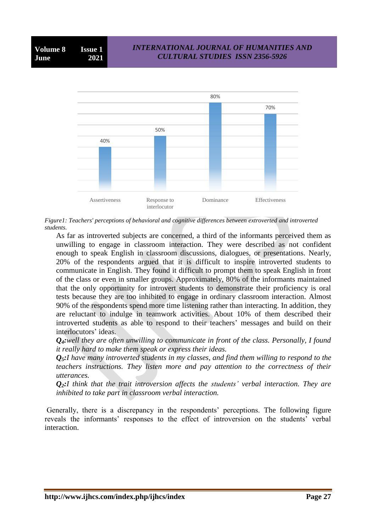

*Figure1: Teachers' perceptions of behavioral and cognitive differences between extroverted and introverted students.*

As far as introverted subjects are concerned, a third of the informants perceived them as unwilling to engage in classroom interaction. They were described as not confident enough to speak English in classroom discussions, dialogues, or presentations. Nearly, 20% of the respondents argued that it is difficult to inspire introverted students to communicate in English. They found it difficult to prompt them to speak English in front of the class or even in smaller groups. Approximately, 80% of the informants maintained that the only opportunity for introvert students to demonstrate their proficiency is oral tests because they are too inhibited to engage in ordinary classroom interaction. Almost 90% of the respondents spend more time listening rather than interacting. In addition, they are reluctant to indulge in teamwork activities. About 10% of them described their introverted students as able to respond to their teachers' messages and build on their interlocutors' ideas.

*Q4:well they are often unwilling to communicate in front of the class. Personally, I found it really hard to make them speak or express their ideas.*

*Q5:I have many introverted students in my classes, and find them willing to respond to the teachers instructions. They listen more and pay attention to the correctness of their utterances.*

*Q2:I think that the trait introversion affects the students" verbal interaction. They are inhibited to take part in classroom verbal interaction.*

Generally, there is a discrepancy in the respondents' perceptions. The following figure reveals the informants' responses to the effect of introversion on the students' verbal interaction.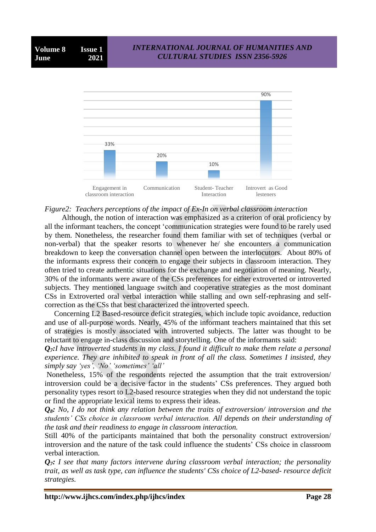

#### *Figure2: Teachers perceptions of the impact of Ex-In on verbal classroom interaction*

 Although, the notion of interaction was emphasized as a criterion of oral proficiency by all the informant teachers, the concept "communication strategies were found to be rarely used by them. Nonetheless, the researcher found them familiar with set of techniques (verbal or non-verbal) that the speaker resorts to whenever he/ she encounters a communication breakdown to keep the conversation channel open between the interlocutors. About 80% of the informants express their concern to engage their subjects in classroom interaction. They often tried to create authentic situations for the exchange and negotiation of meaning. Nearly, 30% of the informants were aware of the CSs preferences for either extroverted or introverted subjects. They mentioned language switch and cooperative strategies as the most dominant CSs in Extroverted oral verbal interaction while stalling and own self-rephrasing and selfcorrection as the CSs that best characterized the introverted speech.

 Concerning L2 Based-resource deficit strategies, which include topic avoidance, reduction and use of all-purpose words. Nearly, 45% of the informant teachers maintained that this set of strategies is mostly associated with introverted subjects. The latter was thought to be reluctant to engage in-class discussion and storytelling. One of the informants said:

*Q7:I have introverted students in my class. I found it difficult to make them relate a personal experience. They are inhibited to speak in front of all the class. Sometimes I insisted, they simply say "yes", "No" "sometimes" "all"*

Nonetheless, 15% of the respondents rejected the assumption that the trait extroversion/ introversion could be a decisive factor in the students' CSs preferences. They argued both personality types resort to L2-based resource strategies when they did not understand the topic or find the appropriate lexical items to express their ideas.

*Q8: No, I do not think any relation between the traits of extroversion/ introversion and the students" CSs choice in classroom verbal interaction. All depends on their understanding of the task and their readiness to engage in classroom interaction.*

Still 40% of the participants maintained that both the personality construct extroversion/ introversion and the nature of the task could influence the students" CSs choice in classroom verbal interaction.

*Q7: I see that many factors intervene during classroom verbal interaction; the personality trait, as well as task type, can influence the students' CSs choice of L2-based- resource deficit strategies.*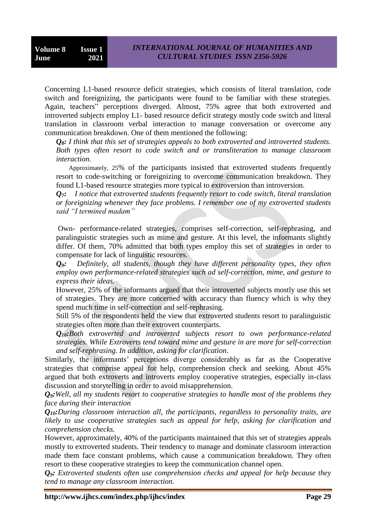Concerning L1-based resource deficit strategies, which consists of literal translation, code switch and foreignizing, the participants were found to be familiar with these strategies. Again, teachers" perceptions diverged. Almost, 75% agree that both extroverted and introverted subjects employ L1- based resource deficit strategy mostly code switch and literal translation in classroom verbal interaction to manage conversation or overcome any communication breakdown. One of them mentioned the following:

*Q8: I think that this set of strategies appeals to both extroverted and introverted students. Both types often resort to code switch and or transliteration to manage classroom interaction.*

 Approximately, 25% of the participants insisted that extroverted students frequently resort to code-switching or foreignizing to overcome communication breakdown. They found L1-based resource strategies more typical to extroversion than introversion.

*Q7: I notice that extroverted students frequently resort to code switch, literal translation or foreignizing whenever they face problems. I remember one of my extroverted students said "I termined madam"* 

Own- performance-related strategies, comprises self-correction, self-rephrasing, and paralinguistic strategies such as mime and gesture. At this level, the informants slightly differ. Of them, 70% admitted that both types employ this set of strategies in order to compensate for lack of linguistic resources.

*Q9: Definitely, all students, though they have different personality types, they often employ own performance-related strategies such ad self-correction, mime, and gesture to express their ideas.*

However, 25% of the informants argued that their introverted subjects mostly use this set of strategies. They are more concerned with accuracy than fluency which is why they spend much time in self-correction and self-rephrasing.

Still 5% of the respondents held the view that extroverted students resort to paralinguistic strategies often more than their extrovert counterparts.

*Q10:Both extroverted and introverted subjects resort to own performance-related strategies. While Extroverts tend toward mime and gesture in are more for self-correction and self-rephrasing. In addition, asking for clarification*.

Similarly, the informants' perceptions diverge considerably as far as the Cooperative strategies that comprise appeal for help, comprehension check and seeking. About 45% argued that both extroverts and introverts employ cooperative strategies, especially in-class discussion and storytelling in order to avoid misapprehension.

*Q9:Well, all my students resort to cooperative strategies to handle most of the problems they face during their interaction*

*Q10:During classroom interaction all, the participants, regardless to personality traits, are likely to use cooperative strategies such as appeal for help, asking for clarification and comprehension checks.*

However, approximately, 40% of the participants maintained that this set of strategies appeals mostly to extroverted students. Their tendency to manage and dominate classroom interaction made them face constant problems, which cause a communication breakdown. They often resort to these cooperative strategies to keep the communication channel open.

*Q9: Extroverted students often use comprehension checks and appeal for help because they tend to manage any classroom interaction.*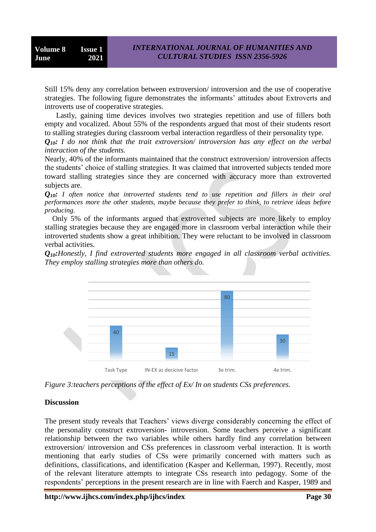Still 15% deny any correlation between extroversion/ introversion and the use of cooperative strategies. The following figure demonstrates the informants' attitudes about Extroverts and introverts use of cooperative strategies.

 Lastly, gaining time devices involves two strategies repetition and use of fillers both empty and vocalized. About 55% of the respondents argued that most of their students resort to stalling strategies during classroom verbal interaction regardless of their personality type.

*Q10: I do not think that the trait extroversion/ introversion has any effect on the verbal interaction of the students.* 

Nearly, 40% of the informants maintained that the construct extroversion/ introversion affects the students" choice of stalling strategies. It was claimed that introverted subjects tended more toward stalling strategies since they are concerned with accuracy more than extroverted subjects are.

*Q10: I often notice that introverted students tend to use repetition and fillers in their oral performances more the other students, maybe because they prefer to think, to retrieve ideas before producing.*

 Only 5% of the informants argued that extroverted subjects are more likely to employ stalling strategies because they are engaged more in classroom verbal interaction while their introverted students show a great inhibition. They were reluctant to be involved in classroom verbal activities.

*Q10:Honestly, I find extroverted students more engaged in all classroom verbal activities. They employ stalling strategies more than others do.*



*Figure 3:teachers perceptions of the effect of Ex/ In on students CSs preferences.*

#### **Discussion**

The present study reveals that Teachers' views diverge considerably concerning the effect of the personality construct extroversion- introversion. Some teachers perceive a significant relationship between the two variables while others hardly find any correlation between extroversion/ introversion and CSs preferences in classroom verbal interaction. It is worth mentioning that early studies of CSs were primarily concerned with matters such as definitions, classifications, and identification (Kasper and Kellerman, 1997). Recently, most of the relevant literature attempts to integrate CSs research into pedagogy. Some of the respondents" perceptions in the present research are in line with Faerch and Kasper, 1989 and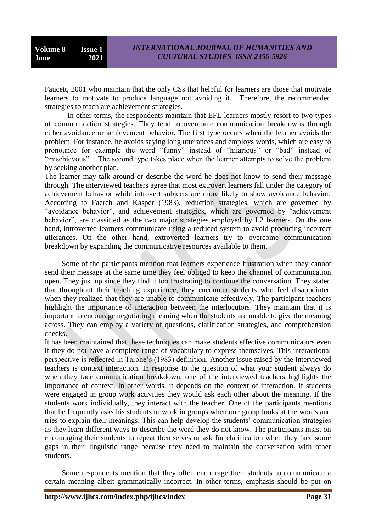Faucett, 2001 who maintain that the only CSs that helpful for learners are those that motivate learners to motivate to produce language not avoiding it. Therefore, the recommended strategies to teach are achievement strategies.

 In other terms, the respondents maintain that EFL learners mostly resort to two types of communication strategies. They tend to overcome communication breakdowns through either avoidance or achievement behavior. The first type occurs when the learner avoids the problem. For instance, he avoids saying long utterances and employs words, which are easy to pronounce for example the word "funny" instead of "hilarious" or "bad" instead of "mischievous". The second type takes place when the learner attempts to solve the problem by seeking another plan.

The learner may talk around or describe the word he does not know to send their message through. The interviewed teachers agree that most extrovert learners fall under the category of achievement behavior while introvert subjects are more likely to show avoidance behavior. According to Faerch and Kasper (1983), reduction strategies, which are governed by "avoidance behavior", and achievement strategies, which are governed by "achievement behavior", are classified as the two major strategies employed by L2 learners. On the one hand, introverted learners communicate using a reduced system to avoid producing incorrect utterances. On the other hand, extroverted learners try to overcome communication breakdown by expanding the communicative resources available to them.

 Some of the participants mention that learners experience frustration when they cannot send their message at the same time they feel obliged to keep the channel of communication open. They just up since they find it too frustrating to continue the conversation. They stated that throughout their teaching experience, they encounter students who feel disappointed when they realized that they are unable to communicate effectively. The participant teachers highlight the importance of interaction between the interlocutors. They maintain that it is important to encourage negotiating meaning when the students are unable to give the meaning across. They can employ a variety of questions, clarification strategies, and comprehension checks.

It has been maintained that these techniques can make students effective communicators even if they do not have a complete range of vocabulary to express themselves. This interactional perspective is reflected in Tarone"s (1983) definition. Another issue raised by the interviewed teachers is context interaction. In response to the question of what your student always do when they face communication breakdown, one of the interviewed teachers highlights the importance of context. In other words, it depends on the context of interaction. If students were engaged in group work activities they would ask each other about the meaning. If the students work individually, they interact with the teacher. One of the participants mentions that he frequently asks his students to work in groups when one group looks at the words and tries to explain their meanings. This can help develop the students" communication strategies as they learn different ways to describe the word they do not know. The participants insist on encouraging their students to repeat themselves or ask for clarification when they face some gaps in their linguistic range because they need to maintain the conversation with other students.

 Some respondents mention that they often encourage their students to communicate a certain meaning albeit grammatically incorrect. In other terms, emphasis should be put on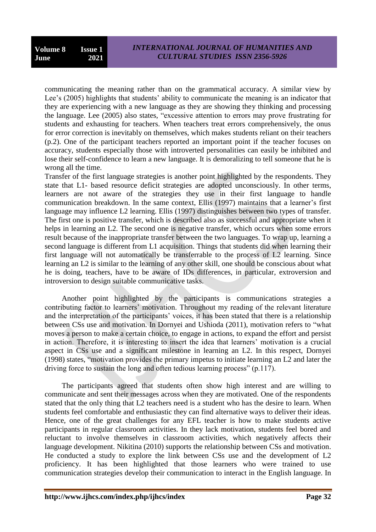communicating the meaning rather than on the grammatical accuracy. A similar view by Lee's (2005) highlights that students' ability to communicate the meaning is an indicator that they are experiencing with a new language as they are showing they thinking and processing the language. Lee (2005) also states, "excessive attention to errors may prove frustrating for students and exhausting for teachers. When teachers treat errors comprehensively, the onus for error correction is inevitably on themselves, which makes students reliant on their teachers (p.2). One of the participant teachers reported an important point if the teacher focuses on accuracy, students especially those with introverted personalities can easily be inhibited and lose their self-confidence to learn a new language. It is demoralizing to tell someone that he is wrong all the time.

Transfer of the first language strategies is another point highlighted by the respondents. They state that L1- based resource deficit strategies are adopted unconsciously. In other terms, learners are not aware of the strategies they use in their first language to handle communication breakdown. In the same context, Ellis (1997) maintains that a learner"s first language may influence L2 learning. Ellis (1997) distinguishes between two types of transfer. The first one is positive transfer, which is described also as successful and appropriate when it helps in learning an L2. The second one is negative transfer, which occurs when some errors result because of the inappropriate transfer between the two languages. To wrap up, learning a second language is different from L1 acquisition. Things that students did when learning their first language will not automatically be transferrable to the process of L2 learning. Since learning an L2 is similar to the learning of any other skill, one should be conscious about what he is doing, teachers, have to be aware of IDs differences, in particular, extroversion and introversion to design suitable communicative tasks.

 Another point highlighted by the participants is communications strategies a contributing factor to learners' motivation. Throughout my reading of the relevant literature and the interpretation of the participants' voices, it has been stated that there is a relationship between CSs use and motivation. In Dornyei and Ushioda (2011), motivation refers to "what moves a person to make a certain choice, to engage in actions, to expand the effort and persist in action. Therefore, it is interesting to insert the idea that learners' motivation is a crucial aspect in CSs use and a significant milestone in learning an L2. In this respect, Dornyei (1998) states, "motivation provides the primary impetus to initiate learning an L2 and later the driving force to sustain the long and often tedious learning process" (p.117).

 The participants agreed that students often show high interest and are willing to communicate and sent their messages across when they are motivated. One of the respondents stated that the only thing that L2 teachers need is a student who has the desire to learn. When students feel comfortable and enthusiastic they can find alternative ways to deliver their ideas. Hence, one of the great challenges for any EFL teacher is how to make students active participants in regular classroom activities. In they lack motivation, students feel bored and reluctant to involve themselves in classroom activities, which negatively affects their language development. Nikitina (2010) supports the relationship between CSs and motivation. He conducted a study to explore the link between CSs use and the development of L2 proficiency. It has been highlighted that those learners who were trained to use communication strategies develop their communication to interact in the English language. In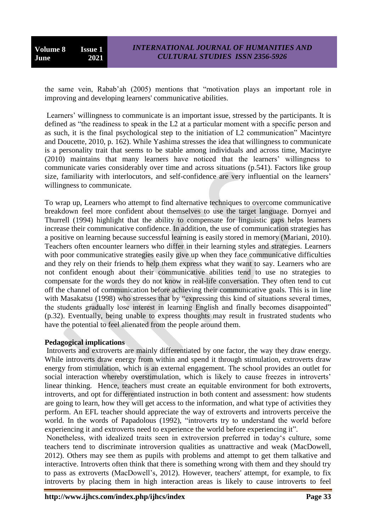**Volume 8 Issue 1 June 2021**

the same vein, Rabab"ah (2005) mentions that "motivation plays an important role in improving and developing learners' communicative abilities.

Learners' willingness to communicate is an important issue, stressed by the participants. It is defined as "the readiness to speak in the L2 at a particular moment with a specific person and as such, it is the final psychological step to the initiation of L2 communication" Macintyre and Doucette, 2010, p. 162). While Yashima stresses the idea that willingness to communicate is a personality trait that seems to be stable among individuals and across time, Macintyre (2010) maintains that many learners have noticed that the learners" willingness to communicate varies considerably over time and across situations (p.541). Factors like group size, familiarity with interlocutors, and self-confidence are very influential on the learners' willingness to communicate.

To wrap up, Learners who attempt to find alternative techniques to overcome communicative breakdown feel more confident about themselves to use the target language. Dornyei and Thurrell (1994) highlight that the ability to compensate for linguistic gaps helps learners increase their communicative confidence. In addition, the use of communication strategies has a positive on learning because successful learning is easily stored in memory (Mariani, 2010). Teachers often encounter learners who differ in their learning styles and strategies. Learners with poor communicative strategies easily give up when they face communicative difficulties and they rely on their friends to help them express what they want to say. Learners who are not confident enough about their communicative abilities tend to use no strategies to compensate for the words they do not know in real-life conversation. They often tend to cut off the channel of communication before achieving their communicative goals. This is in line with Masakatsu (1998) who stresses that by "expressing this kind of situations several times, the students gradually lose interest in learning English and finally becomes disappointed" (p.32). Eventually, being unable to express thoughts may result in frustrated students who have the potential to feel alienated from the people around them.

## **Pedagogical implications**

Introverts and extroverts are mainly differentiated by one factor, the way they draw energy. While introverts draw energy from within and spend it through stimulation, extroverts draw energy from stimulation, which is an external engagement. The school provides an outlet for social interaction whereby overstimulation, which is likely to cause freezes in introverts' linear thinking. Hence, teachers must create an equitable environment for both extroverts, introverts, and opt for differentiated instruction in both content and assessment: how students are going to learn, how they will get access to the information, and what type of activities they perform. An EFL teacher should appreciate the way of extroverts and introverts perceive the world. In the words of Papadolous (1992), "introverts try to understand the world before experiencing it and extroverts need to experience the world before experiencing it".

Nonetheless, with idealized traits seen in extroversion preferred in today"s culture, some teachers tend to discriminate introversion qualities as unattractive and weak (MacDowell, 2012). Others may see them as pupils with problems and attempt to get them talkative and interactive. Introverts often think that there is something wrong with them and they should try to pass as extroverts (MacDowell"s, 2012). However, teachers' attempt, for example, to fix introverts by placing them in high interaction areas is likely to cause introverts to feel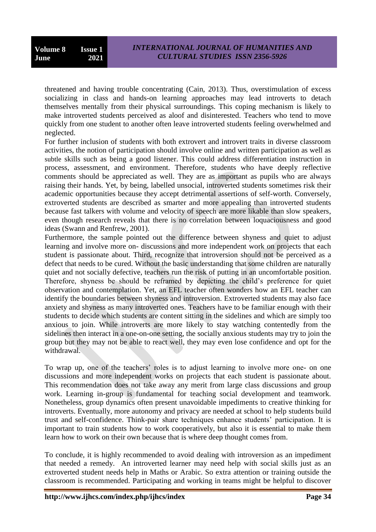threatened and having trouble concentrating (Cain, 2013). Thus, overstimulation of excess socializing in class and hands-on learning approaches may lead introverts to detach themselves mentally from their physical surroundings. This coping mechanism is likely to make introverted students perceived as aloof and disinterested. Teachers who tend to move quickly from one student to another often leave introverted students feeling overwhelmed and neglected.

For further inclusion of students with both extrovert and introvert traits in diverse classroom activities, the notion of participation should involve online and written participation as well as subtle skills such as being a good listener. This could address differentiation instruction in process, assessment, and environment. Therefore, students who have deeply reflective comments should be appreciated as well. They are as important as pupils who are always raising their hands. Yet, by being, labelled unsocial, introverted students sometimes risk their academic opportunities because they accept detrimental assertions of self-worth. Conversely, extroverted students are described as smarter and more appealing than introverted students because fast talkers with volume and velocity of speech are more likable than slow speakers, even though research reveals that there is no correlation between loquaciousness and good ideas (Swann and Renfrew, 2001).

Furthermore, the sample pointed out the difference between shyness and quiet to adjust learning and involve more on- discussions and more independent work on projects that each student is passionate about. Third, recognize that introversion should not be perceived as a defect that needs to be cured. Without the basic understanding that some children are naturally quiet and not socially defective, teachers run the risk of putting in an uncomfortable position. Therefore, shyness be should be reframed by depicting the child"s preference for quiet observation and contemplation. Yet, an EFL teacher often wonders how an EFL teacher can identify the boundaries between shyness and introversion. Extroverted students may also face anxiety and shyness as many introverted ones. Teachers have to be familiar enough with their students to decide which students are content sitting in the sidelines and which are simply too anxious to join. While introverts are more likely to stay watching contentedly from the sidelines then interact in a one-on-one setting, the socially anxious students may try to join the group but they may not be able to react well, they may even lose confidence and opt for the withdrawal.

To wrap up, one of the teachers' roles is to adjust learning to involve more one- on one discussions and more independent works on projects that each student is passionate about. This recommendation does not take away any merit from large class discussions and group work. Learning in-group is fundamental for teaching social development and teamwork. Nonetheless, group dynamics often present unavoidable impediments to creative thinking for introverts. Eventually, more autonomy and privacy are needed at school to help students build trust and self-confidence. Think-pair share techniques enhance students" participation. It is important to train students how to work cooperatively, but also it is essential to make them learn how to work on their own because that is where deep thought comes from.

To conclude, it is highly recommended to avoid dealing with introversion as an impediment that needed a remedy. An introverted learner may need help with social skills just as an extroverted student needs help in Maths or Arabic. So extra attention or training outside the classroom is recommended. Participating and working in teams might be helpful to discover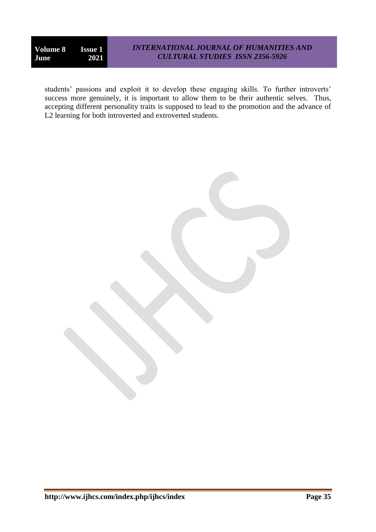students' passions and exploit it to develop these engaging skills. To further introverts' success more genuinely, it is important to allow them to be their authentic selves. Thus, accepting different personality traits is supposed to lead to the promotion and the advance of L<sub>2</sub> learning for both introverted and extroverted students.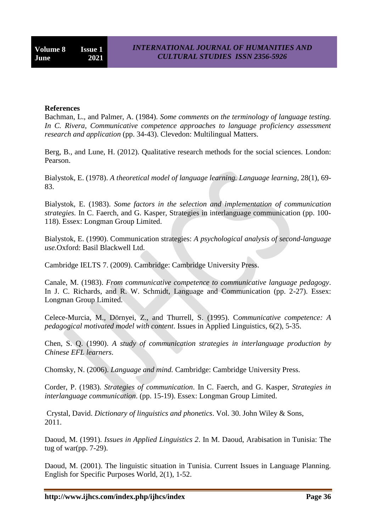#### **References**

Bachman, L., and Palmer, A. (1984). *Some comments on the terminology of language testing. In C. Rivera, Communicative competence approaches to language proficiency assessment research and application* (pp. 34-43). Clevedon: Multilingual Matters.

Berg, B., and Lune, H. (2012). Qualitative research methods for the social sciences. London: Pearson.

Bialystok, E. (1978). *A theoretical model of language learning. Language learning*, 28(1), 69- 83.

Bialystok, E. (1983). *Some factors in the selection and implementation of communication strategies.* In C. Faerch, and G. Kasper, Strategies in interlanguage communication (pp. 100- 118). Essex: Longman Group Limited.

Bialystok, E. (1990). Communication strategies: *A psychological analysis of second-language use.*Oxford: Basil Blackwell Ltd.

Cambridge IELTS 7. (2009). Cambridge: Cambridge University Press.

Canale, M. (1983). *From communicative competence to communicative language pedagogy*. In J. C. Richards, and R. W. Schmidt, Language and Communication (pp. 2-27). Essex: Longman Group Limited.

Celece-Murcia, M., Dörnyei, Z., and Thurrell, S. (1995). C*ommunicative competence: A pedagogical motivated model with content*. Issues in Applied Linguistics, 6(2), 5-35.

Chen, S. Q. (1990). *A study of communication strategies in interlanguage production by Chinese EFL learners*.

Chomsky, N. (2006). *Language and mind.* Cambridge: Cambridge University Press.

Corder, P. (1983). *Strategies of communication*. In C. Faerch, and G. Kasper, *Strategies in interlanguage communication*. (pp. 15-19). Essex: Longman Group Limited.

Crystal, David. *Dictionary of linguistics and phonetics*. Vol. 30. John Wiley & Sons, 2011.

Daoud, M. (1991). *Issues in Applied Linguistics 2*. In M. Daoud, Arabisation in Tunisia: The tug of war(pp. 7-29).

Daoud, M. (2001). The linguistic situation in Tunisia. Current Issues in Language Planning. English for Specific Purposes World, 2(1), 1-52.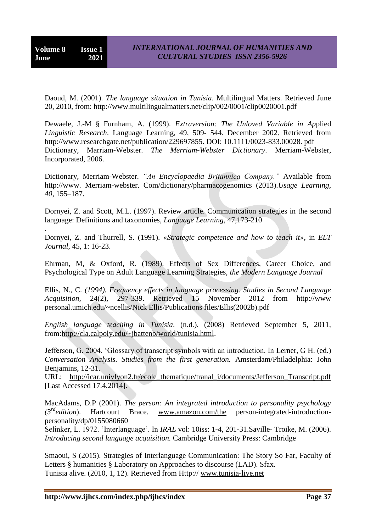.

Daoud, M. (2001). *The language situation in Tunisia*. Multilingual Matters. Retrieved June 20, 2010, from: http://www.multilingualmatters.net/clip/002/0001/clip0020001.pdf

Dewaele, J.-M § Furnham, A. (1999). *Extraversion: The Unloved Variable in Ap*plied *Linguistic Research*. Language Learning*,* 49, 509- 544. December 2002. Retrieved from [http://www.researchgate.net/publication/229697855.](http://www.researchgate.net/publication/229697855) DOI: 10.1111/0023-833.00028. pdf Dictionary, Marriam-Webster. *The Merriam-Webster Dictionary*. Merriam-Webster, Incorporated, 2006.

Dictionary, Merriam-Webster. *"An Encyclopaedia Britannica Company."* Available from http://www. Merriam-webster. Com/dictionary/pharmacogenomics (2013).*Usage Learning, 40,* 155–187.

Dornyei, Z. and Scott, M.L. (1997). Review article. Communication strategies in the second language: Definitions and taxonomies, *Language Learning*, 47,173-210

Dornyei, Z. and Thurrell, S. (1991). *«Strategic competence and how to teach it»*, in *ELT Journal*, 45, 1: 16-23.

Ehrman, M, & Oxford, R. (1989). Effects of Sex Differences, Career Choice, and Psychological Type on Adult Language Learning Strategies, *the Modern Language Journal*

Ellis, N., C. *(1994). Frequency effects in language processing. Studies in Second Language Acquisition,* 24(2), 297-339. Retrieved 15 November 2012 from http://www personal.umich.edu/~ncellis/Nick Ellis/Publications files/Ellis(2002b).pdf

*English language teaching in Tunisia*. (n.d.). (2008) Retrieved September 5, 2011, from[:http://cla.calpoly.edu/~jbattenb/world/tunisia.html.](http://cla.calpoly.edu/~jbattenb/world/tunisia.html)

Jefferson, G. 2004. "Glossary of transcript symbols with an introduction. In Lerner, G H. (ed.) *Conversation Analysis. Studies from the first generation.* Amsterdam/Philadelphia: John Benjamins, 12-31.

URL: [http://icar.univlyon2.fr/ecole\\_thematique/tranal\\_i/documents/Jefferson\\_Transcript.pdf](http://icar.univlyon2.fr/ecole_thematique/tranal_i/documents/Jefferson_Transcript.pdf) [Last Accessed 17.4.2014].

MacAdams, D.P (2001). *The person: An integrated introduction to personality psychology (3rdedition*). Hartcourt Brace. [www.amazon.com/the](http://www.amazon.com/the) person-integrated-introductionpersonality/dp/0155080660

Selinker, L. 1972. "Interlanguage". In *IRAL* vol: 10iss: 1-4, 201-31.Saville- Troike, M. (2006). *Introducing second language acquisition.* Cambridge University Press: Cambridge

Smaoui, S (2015). Strategies of Interlanguage Communication: The Story So Far, Faculty of Letters § humanities § Laboratory on Approaches to discourse (LAD). Sfax. Tunisia alive. (2010, 1, 12). Retrieved from Http:// [www.tunisia-live.net](http://www.tunisia-live.net/)